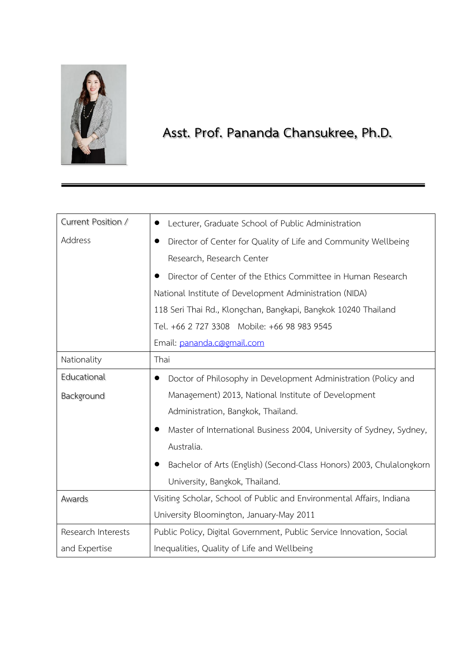

 **Asst. Prof. Pananda Chansukree, Ph.D.**

| Current Position / | Lecturer, Graduate School of Public Administration                    |
|--------------------|-----------------------------------------------------------------------|
| Address            | Director of Center for Quality of Life and Community Wellbeing        |
|                    | Research, Research Center                                             |
|                    | Director of Center of the Ethics Committee in Human Research          |
|                    | National Institute of Development Administration (NIDA)               |
|                    | 118 Seri Thai Rd., Klongchan, Bangkapi, Bangkok 10240 Thailand        |
|                    | Tel. +66 2 727 3308 Mobile: +66 98 983 9545                           |
|                    | Email: pananda.c@gmail.com                                            |
| Nationality        | Thai                                                                  |
| Educational        | Doctor of Philosophy in Development Administration (Policy and        |
| Background         | Management) 2013, National Institute of Development                   |
|                    | Administration, Bangkok, Thailand.                                    |
|                    | Master of International Business 2004, University of Sydney, Sydney,  |
|                    | Australia.                                                            |
|                    | Bachelor of Arts (English) (Second-Class Honors) 2003, Chulalongkorn  |
|                    | University, Bangkok, Thailand.                                        |
| Awards             | Visiting Scholar, School of Public and Environmental Affairs, Indiana |
|                    | University Bloomington, January-May 2011                              |
| Research Interests | Public Policy, Digital Government, Public Service Innovation, Social  |
| and Expertise      | Inequalities, Quality of Life and Wellbeing                           |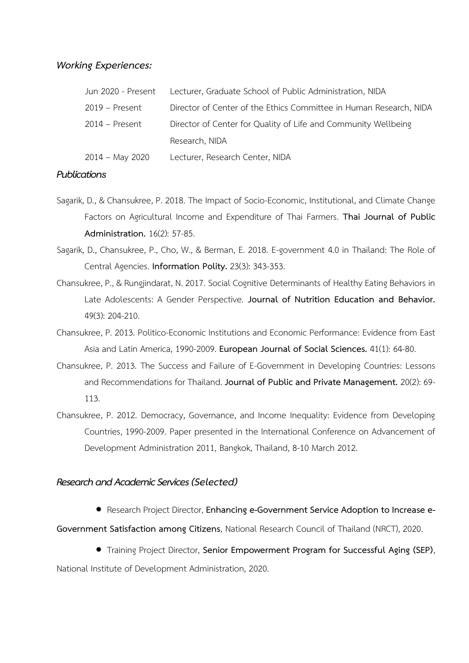## *Working Experiences:*

| Jun 2020 - Present | Lecturer, Graduate School of Public Administration, NIDA           |
|--------------------|--------------------------------------------------------------------|
| $2019$ – Present   | Director of Center of the Ethics Committee in Human Research, NIDA |
| $2014$ – Present   | Director of Center for Quality of Life and Community Wellbeing     |
|                    | Research, NIDA                                                     |
| $2014 - May 2020$  | Lecturer, Research Center, NIDA                                    |

## *Publications*

- Sagarik, D., & Chansukree, P. 2018. The Impact of Socio-Economic, Institutional, and Climate Change Factors on Agricultural Income and Expenditure of Thai Farmers. **Thai Journal of Public Administration.** 16(2): 57-85.
- Sagarik, D., Chansukree, P., Cho, W., & Berman, E. 2018. E-government 4.0 in Thailand: The Role of Central Agencies. **Information Polity.** 23(3): 343-353.
- Chansukree, P., & Rungjindarat, N. 2017. Social Cognitive Determinants of Healthy Eating Behaviors in Late Adolescents: A Gender Perspective. **Journal of Nutrition Education and Behavior.** 49(3): 204-210.
- Chansukree, P. 2013. Politico-Economic Institutions and Economic Performance: Evidence from East Asia and Latin America, 1990-2009. **European Journal of Social Sciences.** 41(1): 64-80.
- Chansukree, P. 2013. The Success and Failure of E-Government in Developing Countries: Lessons and Recommendations for Thailand. **Journal of Public and Private Management.** 20(2): 69- 113.
- Chansukree, P. 2012. Democracy, Governance, and Income Inequality: Evidence from Developing Countries, 1990-2009. Paper presented in the International Conference on Advancement of Development Administration 2011, Bangkok, Thailand, 8-10 March 2012.

## *Research and Academic Services (Selected)*

• Research Project Director, **Enhancing e-Government Service Adoption to Increase e-**

**Government Satisfaction among Citizens**, National Research Council of Thailand (NRCT), 2020.

• Training Project Director, **Senior Empowerment Program for Successful Aging (SEP)**,

National Institute of Development Administration, 2020.